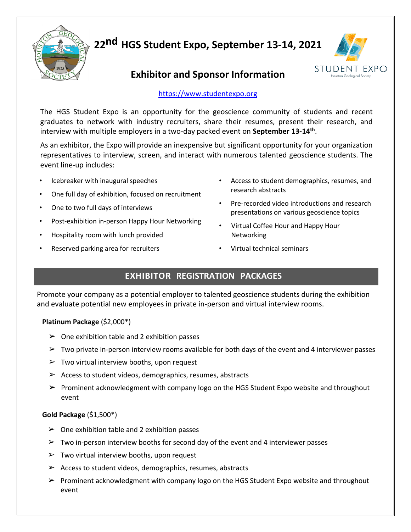

 **22nd HGS Student Expo, September 13-14, 2021** 



## **Exhibitor and Sponsor Information**

### [https://www.studentexpo.org](https://www.studentexpo.org/)

The HGS Student Expo is an opportunity for the geoscience community of students and recent graduates to network with industry recruiters, share their resumes, present their research, and interview with multiple employers in a two-day packed event on **September 13-14th**.

As an exhibitor, the Expo will provide an inexpensive but significant opportunity for your organization representatives to interview, screen, and interact with numerous talented geoscience students. The event line-up includes:

- Icebreaker with inaugural speeches
- One full day of exhibition, focused on recruitment
- One to two full days of interviews
- Post-exhibition in-person Happy Hour Networking
- Hospitality room with lunch provided
- Reserved parking area for recruiters
- Access to student demographics, resumes, and research abstracts
- Pre-recorded video introductions and research presentations on various geoscience topics
- Virtual Coffee Hour and Happy Hour Networking
- Virtual technical seminars

## **EXHIBITOR REGISTRATION PACKAGES**

Promote your company as a potential employer to talented geoscience students during the exhibition and evaluate potential new employees in private in-person and virtual interview rooms.

#### **Platinum Package** (\$2,000\*)

- $\triangleright$  One exhibition table and 2 exhibition passes
- $\triangleright$  Two private in-person interview rooms available for both days of the event and 4 interviewer passes
- $\triangleright$  Two virtual interview booths, upon request
- $\triangleright$  Access to student videos, demographics, resumes, abstracts
- $\triangleright$  Prominent acknowledgment with company logo on the HGS Student Expo website and throughout event

#### **Gold Package** (\$1,500\*)

- $\geq$  One exhibition table and 2 exhibition passes
- $\triangleright$  Two in-person interview booths for second day of the event and 4 interviewer passes
- $\triangleright$  Two virtual interview booths, upon request
- $\triangleright$  Access to student videos, demographics, resumes, abstracts
- $\triangleright$  Prominent acknowledgment with company logo on the HGS Student Expo website and throughout event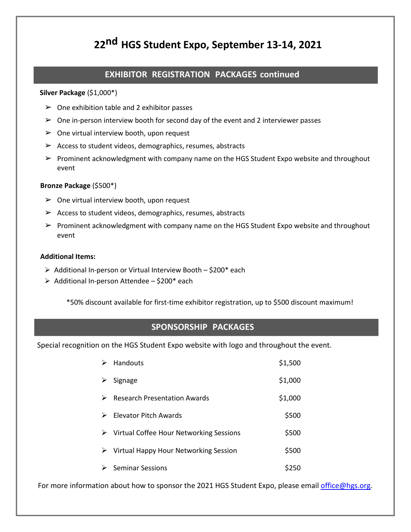## **22nd HGS Student Expo, September 13-14, 2021**

### **EXHIBITOR REGISTRATION PACKAGES continued**

#### **Silver Package** (\$1,000\*)

- $\triangleright$  One exhibition table and 2 exhibitor passes
- $\triangleright$  One in-person interview booth for second day of the event and 2 interviewer passes
- $\triangleright$  One virtual interview booth, upon request
- $\triangleright$  Access to student videos, demographics, resumes, abstracts
- ➢ Prominent acknowledgment with company name on the HGS Student Expo website and throughout event

#### **Bronze Package** (\$500\*)

- $\triangleright$  One virtual interview booth, upon request
- $\triangleright$  Access to student videos, demographics, resumes, abstracts
- $\triangleright$  Prominent acknowledgment with company name on the HGS Student Expo website and throughout event

#### **Additional Items:**

- $\triangleright$  Additional In-person or Virtual Interview Booth \$200\* each
- $\triangleright$  Additional In-person Attendee \$200\* each

\*50% discount available for first-time exhibitor registration, up to \$500 discount maximum!

#### **SPONSORSHIP PACKAGES**

Special recognition on the HGS Student Expo website with logo and throughout the event.

| ⋗ | Handouts                                                 | \$1,500 |
|---|----------------------------------------------------------|---------|
| ➤ | Signage                                                  | \$1,000 |
| ⋗ | <b>Research Presentation Awards</b>                      | \$1,000 |
| ➤ | Elevator Pitch Awards                                    | \$500   |
|   | $\triangleright$ Virtual Coffee Hour Networking Sessions | \$500   |
| ➤ | Virtual Happy Hour Networking Session                    | \$500   |
|   | <b>Seminar Sessions</b>                                  | S250    |

For more information about how to sponsor the 2021 HGS Student Expo, please email [office@hgs.org.](mailto:office@hgs.org)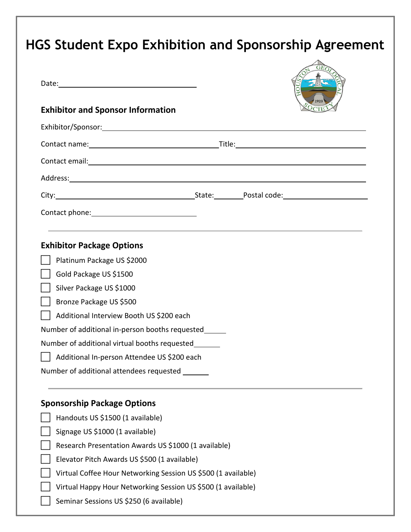# **HGS Student Expo Exhibition and Sponsorship Agreement**

| <b>Exhibitor and Sponsor Information</b>              |  |  |  |  |  |
|-------------------------------------------------------|--|--|--|--|--|
| Exhibitor/Sponsor: Exhibitor/Sponsor:                 |  |  |  |  |  |
|                                                       |  |  |  |  |  |
| Contact email: <u>contact email:</u>                  |  |  |  |  |  |
|                                                       |  |  |  |  |  |
|                                                       |  |  |  |  |  |
|                                                       |  |  |  |  |  |
| <b>Exhibitor Package Options</b>                      |  |  |  |  |  |
| Platinum Package US \$2000                            |  |  |  |  |  |
| Gold Package US \$1500                                |  |  |  |  |  |
| Silver Package US \$1000                              |  |  |  |  |  |
| Bronze Package US \$500                               |  |  |  |  |  |
| Additional Interview Booth US \$200 each              |  |  |  |  |  |
| Number of additional in-person booths requested______ |  |  |  |  |  |
| Number of additional virtual booths requested         |  |  |  |  |  |
| Additional In-person Attendee US \$200 each           |  |  |  |  |  |
| Number of additional attendees requested ______       |  |  |  |  |  |

## **Sponsorship Package Options**

| Handouts US \$1500 (1 available)                              |
|---------------------------------------------------------------|
| Signage US \$1000 (1 available)                               |
| Research Presentation Awards US \$1000 (1 available)          |
| Elevator Pitch Awards US \$500 (1 available)                  |
| Virtual Coffee Hour Networking Session US \$500 (1 available) |
| Virtual Happy Hour Networking Session US \$500 (1 available)  |
| Seminar Sessions US \$250 (6 available)                       |
|                                                               |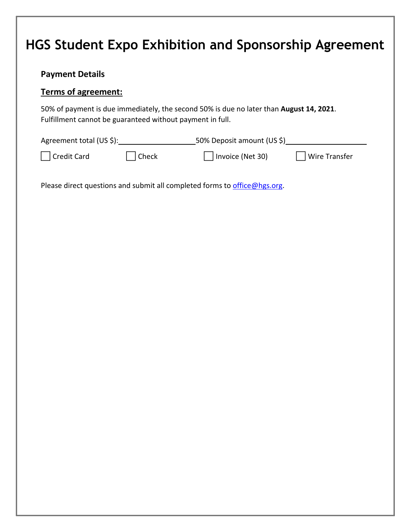## **HGS Student Expo Exhibition and Sponsorship Agreement**

### **Payment Details**

### **Terms of agreement:**

50% of payment is due immediately, the second 50% is due no later than **August 14, 2021**. Fulfillment cannot be guaranteed without payment in full.

| Agreement total (US \$): |                       | 50% Deposit amount (US \$) |               |
|--------------------------|-----------------------|----------------------------|---------------|
| Credit Card              | $\vert$ $\vert$ Check | Invoice (Net 30)           | Wire Transfer |

Please direct questions and submit all completed forms to [office@hgs.org.](mailto:office@hgs.org)